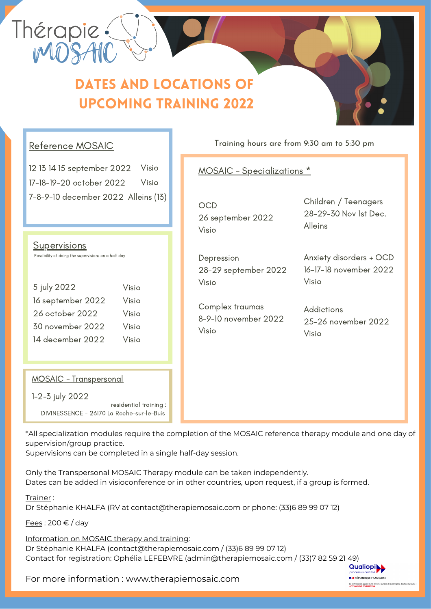

## dates and locations of upcoming training 2022

## Reference MOSAIC

12 13 14 15 september 2022 Visio 17-18-19-20 october 2022 7-8-9-10 december 2022 Alleins (13)Visio

**Supervisions** Possibility of doing the supervisions on a half day 5 july 2022 16 september 2022 Visio Visio

26 october 2022 30 november 2022 14 december 2022 Visio Visio Visio

#### Training hours are from 9:30 am to 5:30 pm

### MOSAIC – Specializations \*

**OCD** 26 september 2022 Visio

Depression 28-29 september 2022 Visio

Complex traumas 8-9-10 november 2022 Visio

Children / Teenagers 28-29-30 Nov 1st Dec. Alleins

Anxiety disorders + OCD 16-17-18 november 2022 Visio

Addictions 25-26 november 2022 Visio

#### MOSAIC - Transpersonal

1-2-3 july 2022

residential training : DIVINESSENCE - 26170 La Roche-sur-le-Buis

\*All specialization modules require the completion of the MOSAIC reference therapy module and one day of supervision/group practice.

Supervisions can be completed in a single half-day session.

Only the Transpersonal MOSAIC Therapy module can be taken independently. Dates can be added in visioconference or in other countries, upon request, if a group is formed.

Trainer :

Dr Stéphanie KHALFA (RV at contact@therapiemosaic.com or phone: (33)6 89 99 07 12)

Fees : 200 € / day

Information on MOSAIC therapy and training:

Dr Stéphanie KHALFA (contact@therapiemosaic.com / (33)6 89 99 07 12) Contact for registration: Ophélia LEFEBVRE (admin@therapiemosaic.com / (33)7 82 59 21 49)

**E BRÉPUBLIQUE FRANCAISE** 

For more information :www.therapiemosaic.com